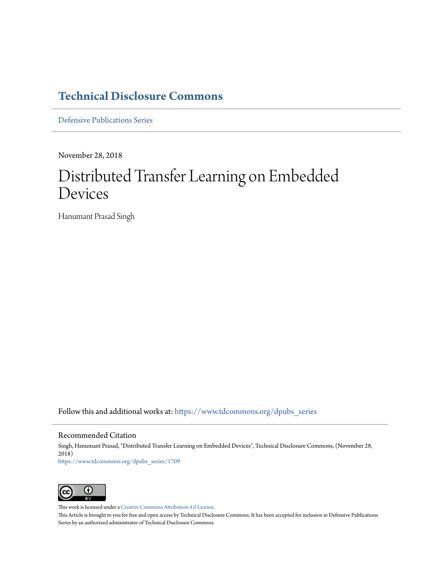# **[Technical Disclosure Commons](https://www.tdcommons.org?utm_source=www.tdcommons.org%2Fdpubs_series%2F1709&utm_medium=PDF&utm_campaign=PDFCoverPages)**

[Defensive Publications Series](https://www.tdcommons.org/dpubs_series?utm_source=www.tdcommons.org%2Fdpubs_series%2F1709&utm_medium=PDF&utm_campaign=PDFCoverPages)

November 28, 2018

# Distributed Transfer Learning on Embedded Devices

Hanumant Prasad Singh

Follow this and additional works at: [https://www.tdcommons.org/dpubs\\_series](https://www.tdcommons.org/dpubs_series?utm_source=www.tdcommons.org%2Fdpubs_series%2F1709&utm_medium=PDF&utm_campaign=PDFCoverPages)

#### Recommended Citation

Singh, Hanumant Prasad, "Distributed Transfer Learning on Embedded Devices", Technical Disclosure Commons, (November 28, 2018) [https://www.tdcommons.org/dpubs\\_series/1709](https://www.tdcommons.org/dpubs_series/1709?utm_source=www.tdcommons.org%2Fdpubs_series%2F1709&utm_medium=PDF&utm_campaign=PDFCoverPages)



This work is licensed under a [Creative Commons Attribution 4.0 License.](http://creativecommons.org/licenses/by/4.0/deed.en_US)

This Article is brought to you for free and open access by Technical Disclosure Commons. It has been accepted for inclusion in Defensive Publications Series by an authorized administrator of Technical Disclosure Commons.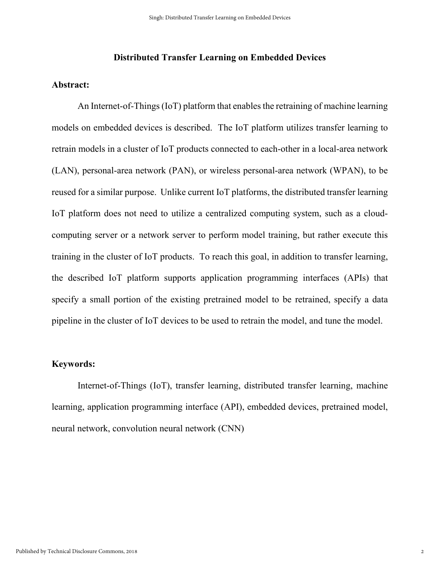#### **Distributed Transfer Learning on Embedded Devices**

#### **Abstract:**

An Internet-of-Things (IoT) platform that enables the retraining of machine learning models on embedded devices is described. The IoT platform utilizes transfer learning to retrain models in a cluster of IoT products connected to each-other in a local-area network (LAN), personal-area network (PAN), or wireless personal-area network (WPAN), to be reused for a similar purpose. Unlike current IoT platforms, the distributed transfer learning IoT platform does not need to utilize a centralized computing system, such as a cloudcomputing server or a network server to perform model training, but rather execute this training in the cluster of IoT products. To reach this goal, in addition to transfer learning, the described IoT platform supports application programming interfaces (APIs) that specify a small portion of the existing pretrained model to be retrained, specify a data pipeline in the cluster of IoT devices to be used to retrain the model, and tune the model.

# **Keywords:**

Internet-of-Things (IoT), transfer learning, distributed transfer learning, machine learning, application programming interface (API), embedded devices, pretrained model, neural network, convolution neural network (CNN)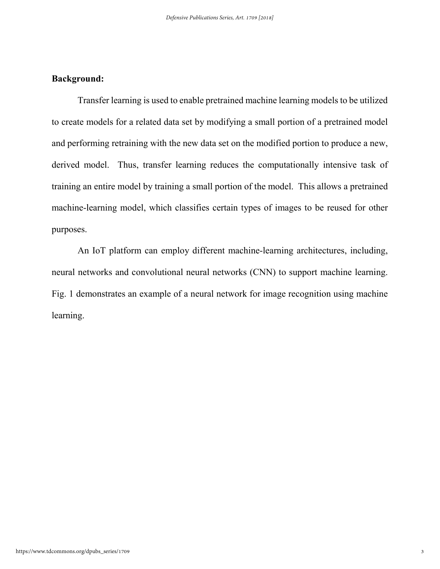# **Background:**

Transfer learning is used to enable pretrained machine learning models to be utilized to create models for a related data set by modifying a small portion of a pretrained model and performing retraining with the new data set on the modified portion to produce a new, derived model. Thus, transfer learning reduces the computationally intensive task of training an entire model by training a small portion of the model. This allows a pretrained machine-learning model, which classifies certain types of images to be reused for other purposes.

An IoT platform can employ different machine-learning architectures, including, neural networks and convolutional neural networks (CNN) to support machine learning. Fig. 1 demonstrates an example of a neural network for image recognition using machine learning.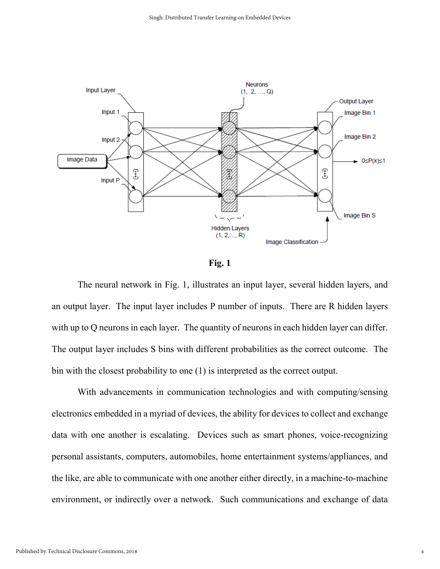

**Fig. 1** 

The neural network in Fig. 1, illustrates an input layer, several hidden layers, and an output layer. The input layer includes P number of inputs. There are R hidden layers with up to Q neurons in each layer. The quantity of neurons in each hidden layer can differ. The output layer includes S bins with different probabilities as the correct outcome. The bin with the closest probability to one (1) is interpreted as the correct output.

With advancements in communication technologies and with computing/sensing electronics embedded in a myriad of devices, the ability for devices to collect and exchange data with one another is escalating. Devices such as smart phones, voice-recognizing personal assistants, computers, automobiles, home entertainment systems/appliances, and the like, are able to communicate with one another either directly, in a machine-to-machine environment, or indirectly over a network. Such communications and exchange of data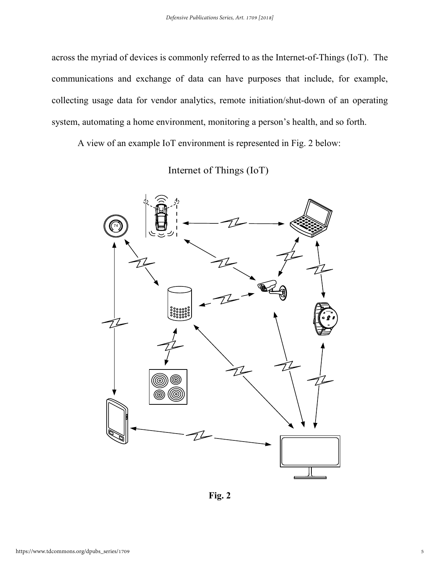across the myriad of devices is commonly referred to as the Internet-of-Things (IoT). The communications and exchange of data can have purposes that include, for example, collecting usage data for vendor analytics, remote initiation/shut-down of an operating system, automating a home environment, monitoring a person's health, and so forth.

A view of an example IoT environment is represented in Fig. 2 below:

Internet of Things (IoT)



**Fig. 2**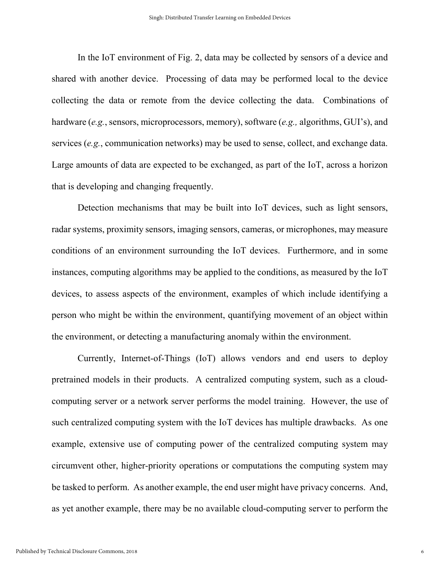In the IoT environment of Fig. 2, data may be collected by sensors of a device and shared with another device. Processing of data may be performed local to the device collecting the data or remote from the device collecting the data. Combinations of hardware (*e.g.*, sensors, microprocessors, memory), software (*e.g.,* algorithms, GUI's), and services (*e.g.*, communication networks) may be used to sense, collect, and exchange data. Large amounts of data are expected to be exchanged, as part of the IoT, across a horizon that is developing and changing frequently.

Detection mechanisms that may be built into IoT devices, such as light sensors, radar systems, proximity sensors, imaging sensors, cameras, or microphones, may measure conditions of an environment surrounding the IoT devices. Furthermore, and in some instances, computing algorithms may be applied to the conditions, as measured by the IoT devices, to assess aspects of the environment, examples of which include identifying a person who might be within the environment, quantifying movement of an object within the environment, or detecting a manufacturing anomaly within the environment.

Currently, Internet-of-Things (IoT) allows vendors and end users to deploy pretrained models in their products. A centralized computing system, such as a cloudcomputing server or a network server performs the model training. However, the use of such centralized computing system with the IoT devices has multiple drawbacks. As one example, extensive use of computing power of the centralized computing system may circumvent other, higher-priority operations or computations the computing system may be tasked to perform. As another example, the end user might have privacy concerns. And, as yet another example, there may be no available cloud-computing server to perform the

6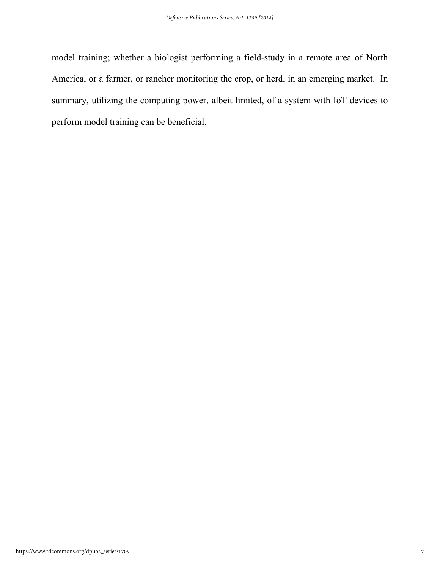model training; whether a biologist performing a field-study in a remote area of North America, or a farmer, or rancher monitoring the crop, or herd, in an emerging market. In summary, utilizing the computing power, albeit limited, of a system with IoT devices to perform model training can be beneficial.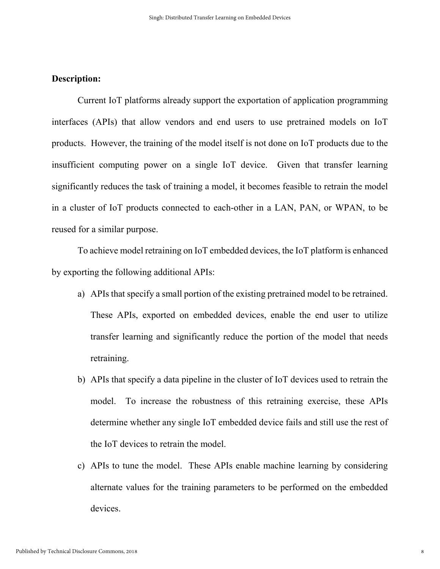# **Description:**

Current IoT platforms already support the exportation of application programming interfaces (APIs) that allow vendors and end users to use pretrained models on IoT products. However, the training of the model itself is not done on IoT products due to the insufficient computing power on a single IoT device. Given that transfer learning significantly reduces the task of training a model, it becomes feasible to retrain the model in a cluster of IoT products connected to each-other in a LAN, PAN, or WPAN, to be reused for a similar purpose.

To achieve model retraining on IoT embedded devices, the IoT platform is enhanced by exporting the following additional APIs:

- a) APIs that specify a small portion of the existing pretrained model to be retrained. These APIs, exported on embedded devices, enable the end user to utilize transfer learning and significantly reduce the portion of the model that needs retraining.
- b) APIs that specify a data pipeline in the cluster of IoT devices used to retrain the model. To increase the robustness of this retraining exercise, these APIs determine whether any single IoT embedded device fails and still use the rest of the IoT devices to retrain the model.
- c) APIs to tune the model. These APIs enable machine learning by considering alternate values for the training parameters to be performed on the embedded devices.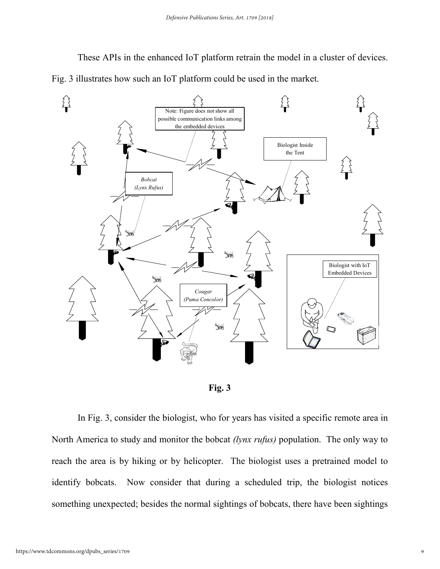These APIs in the enhanced IoT platform retrain the model in a cluster of devices. Fig. 3 illustrates how such an IoT platform could be used in the market.





In Fig. 3, consider the biologist, who for years has visited a specific remote area in North America to study and monitor the bobcat *(lynx rufus)* population. The only way to reach the area is by hiking or by helicopter. The biologist uses a pretrained model to identify bobcats. Now consider that during a scheduled trip, the biologist notices something unexpected; besides the normal sightings of bobcats, there have been sightings